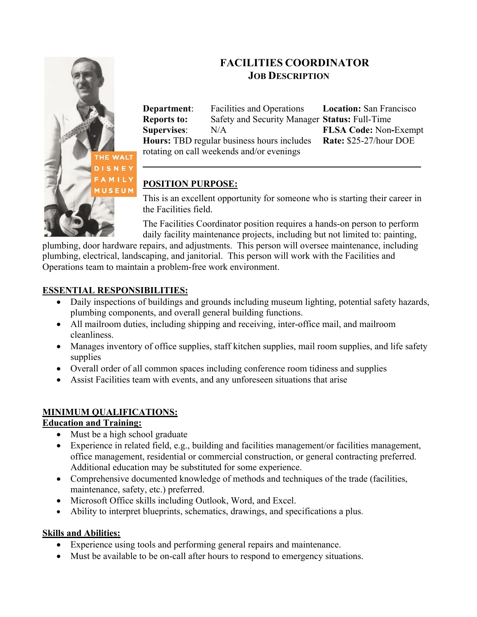

# **FACILITIES COORDINATOR JOB DESCRIPTION**

**Department**: Facilities and Operations **Location:** San Francisco **Reports to:** Safety and Security Manager **Status:** Full-Time **Supervises**: N/A **FLSA Code:** Non**-**Exempt **Hours:** TBD regular business hours includes **Rate:** \$25-27/hour DOE rotating on call weekends and/or evenings

**\_\_\_\_\_\_\_\_\_\_\_\_\_\_\_\_\_\_\_\_\_\_\_\_\_\_\_\_\_\_\_\_\_**

## **POSITION PURPOSE:**

This is an excellent opportunity for someone who is starting their career in the Facilities field.

The Facilities Coordinator position requires a hands-on person to perform daily facility maintenance projects, including but not limited to: painting,

plumbing, door hardware repairs, and adjustments. This person will oversee maintenance, including plumbing, electrical, landscaping, and janitorial. This person will work with the Facilities and Operations team to maintain a problem-free work environment.

## **ESSENTIAL RESPONSIBILITIES:**

- Daily inspections of buildings and grounds including museum lighting, potential safety hazards, plumbing components, and overall general building functions.
- All mailroom duties, including shipping and receiving, inter-office mail, and mailroom cleanliness.
- Manages inventory of office supplies, staff kitchen supplies, mail room supplies, and life safety supplies
- Overall order of all common spaces including conference room tidiness and supplies
- Assist Facilities team with events, and any unforeseen situations that arise

## **MINIMUM QUALIFICATIONS:**

#### **Education and Training:**

- Must be a high school graduate
- Experience in related field, e.g., building and facilities management/or facilities management, office management, residential or commercial construction, or general contracting preferred. Additional education may be substituted for some experience.
- Comprehensive documented knowledge of methods and techniques of the trade (facilities, maintenance, safety, etc.) preferred.
- Microsoft Office skills including Outlook, Word, and Excel.
- Ability to interpret blueprints, schematics, drawings, and specifications a plus.

### **Skills and Abilities:**

- Experience using tools and performing general repairs and maintenance.
- Must be available to be on-call after hours to respond to emergency situations.